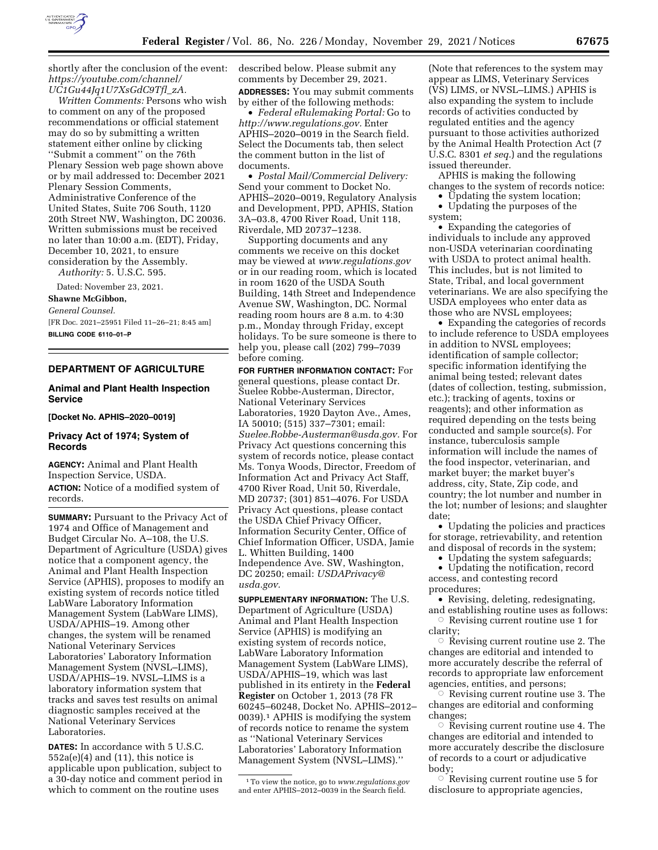

shortly after the conclusion of the event: *[https://youtube.com/channel/](https://youtube.com/channel/UC1Gu44Jq1U7XsGdC9Tfl_zA) [UC1Gu44Jq1U7XsGdC9Tfl](https://youtube.com/channel/UC1Gu44Jq1U7XsGdC9Tfl_zA)*\_*zA.* 

*Written Comments:* Persons who wish to comment on any of the proposed recommendations or official statement may do so by submitting a written statement either online by clicking ''Submit a comment'' on the 76th Plenary Session web page shown above or by mail addressed to: December 2021 Plenary Session Comments, Administrative Conference of the United States, Suite 706 South, 1120 20th Street NW, Washington, DC 20036. Written submissions must be received no later than 10:00 a.m. (EDT), Friday, December 10, 2021, to ensure consideration by the Assembly.

*Authority:* 5. U.S.C. 595.

Dated: November 23, 2021.

**Shawne McGibbon,** 

*General Counsel.* 

[FR Doc. 2021–25951 Filed 11–26–21; 8:45 am] **BILLING CODE 6110–01–P** 

# **DEPARTMENT OF AGRICULTURE**

# **Animal and Plant Health Inspection Service**

**[Docket No. APHIS–2020–0019]** 

# **Privacy Act of 1974; System of Records**

**AGENCY:** Animal and Plant Health Inspection Service, USDA. **ACTION:** Notice of a modified system of records.

**SUMMARY:** Pursuant to the Privacy Act of 1974 and Office of Management and Budget Circular No. A–108, the U.S. Department of Agriculture (USDA) gives notice that a component agency, the Animal and Plant Health Inspection Service (APHIS), proposes to modify an existing system of records notice titled LabWare Laboratory Information Management System (LabWare LIMS), USDA/APHIS–19. Among other changes, the system will be renamed National Veterinary Services Laboratories' Laboratory Information Management System (NVSL–LIMS), USDA/APHIS–19. NVSL–LIMS is a laboratory information system that tracks and saves test results on animal diagnostic samples received at the National Veterinary Services Laboratories.

**DATES:** In accordance with 5 U.S.C.  $552a(e)(4)$  and  $(11)$ , this notice is applicable upon publication, subject to a 30-day notice and comment period in which to comment on the routine uses

described below. Please submit any comments by December 29, 2021. **ADDRESSES:** You may submit comments by either of the following methods:

• *Federal eRulemaking Portal:* Go to *[http://www.regulations.gov.](http://www.regulations.gov)* Enter APHIS–2020–0019 in the Search field. Select the Documents tab, then select the comment button in the list of documents.

• *Postal Mail/Commercial Delivery:*  Send your comment to Docket No. APHIS–2020–0019, Regulatory Analysis and Development, PPD, APHIS, Station 3A–03.8, 4700 River Road, Unit 118, Riverdale, MD 20737–1238.

Supporting documents and any comments we receive on this docket may be viewed at *[www.regulations.gov](http://www.regulations.gov)*  or in our reading room, which is located in room 1620 of the USDA South Building, 14th Street and Independence Avenue SW, Washington, DC. Normal reading room hours are 8 a.m. to 4:30 p.m., Monday through Friday, except holidays. To be sure someone is there to help you, please call (202) 799–7039 before coming.

**FOR FURTHER INFORMATION CONTACT:** For general questions, please contact Dr. Suelee Robbe-Austerman, Director, National Veterinary Services Laboratories, 1920 Dayton Ave., Ames, IA 50010; (515) 337–7301; email: *[Suelee.Robbe-Austerman@usda.gov.](mailto:Suelee.Robbe-Austerman@usda.gov)* For Privacy Act questions concerning this system of records notice, please contact Ms. Tonya Woods, Director, Freedom of Information Act and Privacy Act Staff, 4700 River Road, Unit 50, Riverdale, MD 20737; (301) 851–4076. For USDA Privacy Act questions, please contact the USDA Chief Privacy Officer, Information Security Center, Office of Chief Information Officer, USDA, Jamie L. Whitten Building, 1400 Independence Ave. SW, Washington, DC 20250; email: *[USDAPrivacy@](mailto:USDAPrivacy@usda.gov) [usda.gov.](mailto:USDAPrivacy@usda.gov)* 

**SUPPLEMENTARY INFORMATION:** The U.S. Department of Agriculture (USDA) Animal and Plant Health Inspection Service (APHIS) is modifying an existing system of records notice, LabWare Laboratory Information Management System (LabWare LIMS), USDA/APHIS–19, which was last published in its entirety in the **Federal Register** on October 1, 2013 (78 FR 60245–60248, Docket No. APHIS–2012– 0039).1 APHIS is modifying the system of records notice to rename the system as ''National Veterinary Services Laboratories' Laboratory Information Management System (NVSL–LIMS).''

1To view the notice, go to *[www.regulations.gov](http://www.regulations.gov)*  and enter APHIS–2012–0039 in the Search field.

(Note that references to the system may appear as LIMS, Veterinary Services (VS) LIMS, or NVSL–LIMS.) APHIS is also expanding the system to include records of activities conducted by regulated entities and the agency pursuant to those activities authorized by the Animal Health Protection Act (7 U.S.C. 8301 *et seq.*) and the regulations issued thereunder.

APHIS is making the following changes to the system of records notice:

• Updating the system location;

• Updating the purposes of the

system;

• Expanding the categories of individuals to include any approved non-USDA veterinarian coordinating with USDA to protect animal health. This includes, but is not limited to State, Tribal, and local government veterinarians. We are also specifying the USDA employees who enter data as those who are NVSL employees;

• Expanding the categories of records to include reference to USDA employees in addition to NVSL employees; identification of sample collector; specific information identifying the animal being tested; relevant dates (dates of collection, testing, submission, etc.); tracking of agents, toxins or reagents); and other information as required depending on the tests being conducted and sample source(s). For instance, tuberculosis sample information will include the names of the food inspector, veterinarian, and market buyer; the market buyer's address, city, State, Zip code, and country; the lot number and number in the lot; number of lesions; and slaughter date;

• Updating the policies and practices for storage, retrievability, and retention and disposal of records in the system;

• Updating the system safeguards;

• Updating the notification, record access, and contesting record procedures;

• Revising, deleting, redesignating, and establishing routine uses as follows:  $\circ$  Revising current routine use 1 for

clarity;

 $\circ$  Revising current routine use 2. The changes are editorial and intended to more accurately describe the referral of records to appropriate law enforcement agencies, entities, and persons;

 $\circ$  Revising current routine use 3. The changes are editorial and conforming changes;

 $\circ$  Revising current routine use 4. The changes are editorial and intended to more accurately describe the disclosure of records to a court or adjudicative body;

 $\circ$  Revising current routine use 5 for disclosure to appropriate agencies,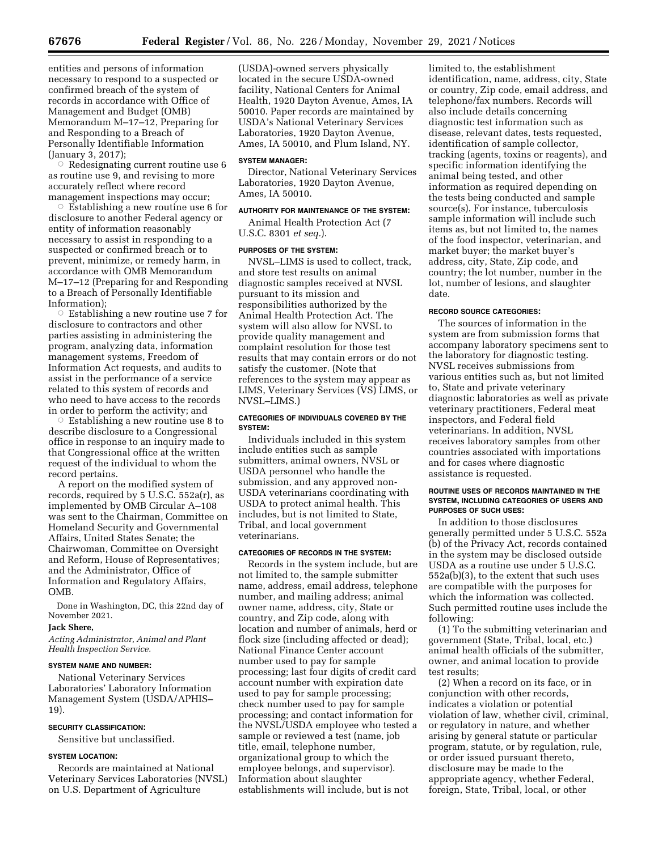entities and persons of information necessary to respond to a suspected or confirmed breach of the system of records in accordance with Office of Management and Budget (OMB) Memorandum M–17–12, Preparing for and Responding to a Breach of Personally Identifiable Information (January 3, 2017);

 $\circ$  Redesignating current routine use 6 as routine use 9, and revising to more accurately reflect where record management inspections may occur;

 $\circ$  Establishing a new routine use 6 for disclosure to another Federal agency or entity of information reasonably necessary to assist in responding to a suspected or confirmed breach or to prevent, minimize, or remedy harm, in accordance with OMB Memorandum M–17–12 (Preparing for and Responding to a Breach of Personally Identifiable Information);

 $\circ$  Establishing a new routine use 7 for disclosure to contractors and other parties assisting in administering the program, analyzing data, information management systems, Freedom of Information Act requests, and audits to assist in the performance of a service related to this system of records and who need to have access to the records in order to perform the activity; and

 $\circ$  Establishing a new routine use 8 to describe disclosure to a Congressional office in response to an inquiry made to that Congressional office at the written request of the individual to whom the record pertains.

A report on the modified system of records, required by 5 U.S.C. 552a(r), as implemented by OMB Circular A–108 was sent to the Chairman, Committee on Homeland Security and Governmental Affairs, United States Senate; the Chairwoman, Committee on Oversight and Reform, House of Representatives; and the Administrator, Office of Information and Regulatory Affairs, OMB.

Done in Washington, DC, this 22nd day of November 2021.

## **Jack Shere,**

*Acting Administrator, Animal and Plant Health Inspection Service.* 

## **SYSTEM NAME AND NUMBER:**

National Veterinary Services Laboratories' Laboratory Information Management System (USDA/APHIS– 19).

### **SECURITY CLASSIFICATION:**

Sensitive but unclassified.

## **SYSTEM LOCATION:**

Records are maintained at National Veterinary Services Laboratories (NVSL) on U.S. Department of Agriculture

(USDA)-owned servers physically located in the secure USDA-owned facility, National Centers for Animal Health, 1920 Dayton Avenue, Ames, IA 50010. Paper records are maintained by USDA's National Veterinary Services Laboratories, 1920 Dayton Avenue, Ames, IA 50010, and Plum Island, NY.

#### **SYSTEM MANAGER:**

Director, National Veterinary Services Laboratories, 1920 Dayton Avenue, Ames, IA 50010.

# **AUTHORITY FOR MAINTENANCE OF THE SYSTEM:**

Animal Health Protection Act (7 U.S.C. 8301 *et seq.*).

#### **PURPOSES OF THE SYSTEM:**

NVSL–LIMS is used to collect, track, and store test results on animal diagnostic samples received at NVSL pursuant to its mission and responsibilities authorized by the Animal Health Protection Act. The system will also allow for NVSL to provide quality management and complaint resolution for those test results that may contain errors or do not satisfy the customer. (Note that references to the system may appear as LIMS, Veterinary Services (VS) LIMS, or NVSL–LIMS.)

## **CATEGORIES OF INDIVIDUALS COVERED BY THE SYSTEM:**

Individuals included in this system include entities such as sample submitters, animal owners, NVSL or USDA personnel who handle the submission, and any approved non-USDA veterinarians coordinating with USDA to protect animal health. This includes, but is not limited to State, Tribal, and local government veterinarians.

#### **CATEGORIES OF RECORDS IN THE SYSTEM:**

Records in the system include, but are not limited to, the sample submitter name, address, email address, telephone number, and mailing address; animal owner name, address, city, State or country, and Zip code, along with location and number of animals, herd or flock size (including affected or dead); National Finance Center account number used to pay for sample processing; last four digits of credit card account number with expiration date used to pay for sample processing; check number used to pay for sample processing; and contact information for the NVSL/USDA employee who tested a sample or reviewed a test (name, job title, email, telephone number, organizational group to which the employee belongs, and supervisor). Information about slaughter establishments will include, but is not

limited to, the establishment identification, name, address, city, State or country, Zip code, email address, and telephone/fax numbers. Records will also include details concerning diagnostic test information such as disease, relevant dates, tests requested, identification of sample collector, tracking (agents, toxins or reagents), and specific information identifying the animal being tested, and other information as required depending on the tests being conducted and sample source(s). For instance, tuberculosis sample information will include such items as, but not limited to, the names of the food inspector, veterinarian, and market buyer; the market buyer's address, city, State, Zip code, and country; the lot number, number in the lot, number of lesions, and slaughter date.

#### **RECORD SOURCE CATEGORIES:**

The sources of information in the system are from submission forms that accompany laboratory specimens sent to the laboratory for diagnostic testing. NVSL receives submissions from various entities such as, but not limited to, State and private veterinary diagnostic laboratories as well as private veterinary practitioners, Federal meat inspectors, and Federal field veterinarians. In addition, NVSL receives laboratory samples from other countries associated with importations and for cases where diagnostic assistance is requested.

### **ROUTINE USES OF RECORDS MAINTAINED IN THE SYSTEM, INCLUDING CATEGORIES OF USERS AND PURPOSES OF SUCH USES:**

In addition to those disclosures generally permitted under 5 U.S.C. 552a (b) of the Privacy Act, records contained in the system may be disclosed outside USDA as a routine use under 5 U.S.C. 552a(b)(3), to the extent that such uses are compatible with the purposes for which the information was collected. Such permitted routine uses include the following:

(1) To the submitting veterinarian and government (State, Tribal, local, etc.) animal health officials of the submitter, owner, and animal location to provide test results;

(2) When a record on its face, or in conjunction with other records, indicates a violation or potential violation of law, whether civil, criminal, or regulatory in nature, and whether arising by general statute or particular program, statute, or by regulation, rule, or order issued pursuant thereto, disclosure may be made to the appropriate agency, whether Federal, foreign, State, Tribal, local, or other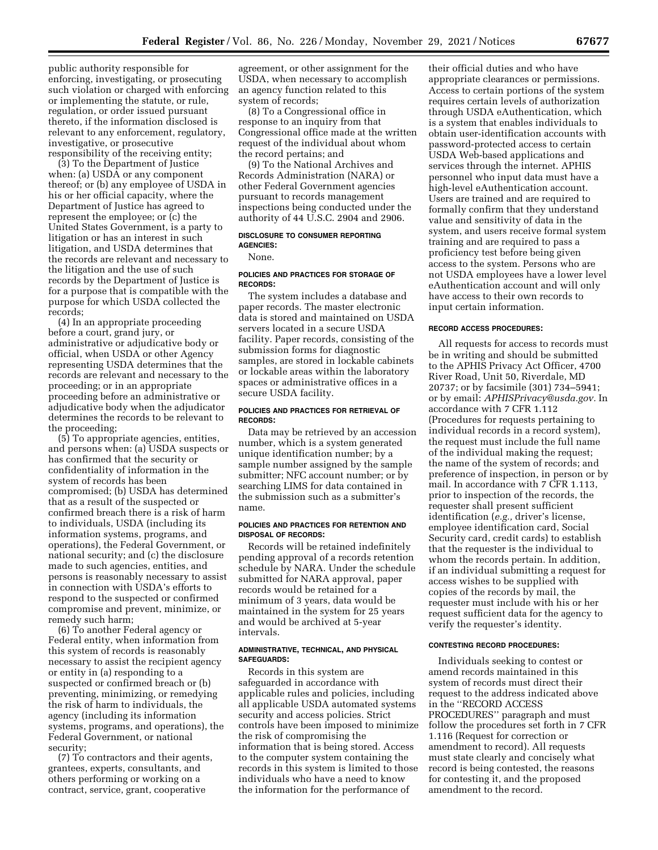public authority responsible for enforcing, investigating, or prosecuting such violation or charged with enforcing or implementing the statute, or rule, regulation, or order issued pursuant thereto, if the information disclosed is relevant to any enforcement, regulatory, investigative, or prosecutive responsibility of the receiving entity;

(3) To the Department of Justice when: (a) USDA or any component thereof; or (b) any employee of USDA in his or her official capacity, where the Department of Justice has agreed to represent the employee; or (c) the United States Government, is a party to litigation or has an interest in such litigation, and USDA determines that the records are relevant and necessary to the litigation and the use of such records by the Department of Justice is for a purpose that is compatible with the purpose for which USDA collected the records;

(4) In an appropriate proceeding before a court, grand jury, or administrative or adjudicative body or official, when USDA or other Agency representing USDA determines that the records are relevant and necessary to the proceeding; or in an appropriate proceeding before an administrative or adjudicative body when the adjudicator determines the records to be relevant to the proceeding;

(5) To appropriate agencies, entities, and persons when: (a) USDA suspects or has confirmed that the security or confidentiality of information in the system of records has been compromised; (b) USDA has determined that as a result of the suspected or confirmed breach there is a risk of harm to individuals, USDA (including its information systems, programs, and operations), the Federal Government, or national security; and (c) the disclosure made to such agencies, entities, and persons is reasonably necessary to assist in connection with USDA's efforts to respond to the suspected or confirmed compromise and prevent, minimize, or remedy such harm;

(6) To another Federal agency or Federal entity, when information from this system of records is reasonably necessary to assist the recipient agency or entity in (a) responding to a suspected or confirmed breach or (b) preventing, minimizing, or remedying the risk of harm to individuals, the agency (including its information systems, programs, and operations), the Federal Government, or national security;

(7) To contractors and their agents, grantees, experts, consultants, and others performing or working on a contract, service, grant, cooperative

agreement, or other assignment for the USDA, when necessary to accomplish an agency function related to this system of records;

(8) To a Congressional office in response to an inquiry from that Congressional office made at the written request of the individual about whom the record pertains; and

(9) To the National Archives and Records Administration (NARA) or other Federal Government agencies pursuant to records management inspections being conducted under the authority of 44 U.S.C. 2904 and 2906.

# **DISCLOSURE TO CONSUMER REPORTING AGENCIES:**

None.

## **POLICIES AND PRACTICES FOR STORAGE OF RECORDS:**

The system includes a database and paper records. The master electronic data is stored and maintained on USDA servers located in a secure USDA facility. Paper records, consisting of the submission forms for diagnostic samples, are stored in lockable cabinets or lockable areas within the laboratory spaces or administrative offices in a secure USDA facility.

#### **POLICIES AND PRACTICES FOR RETRIEVAL OF RECORDS:**

Data may be retrieved by an accession number, which is a system generated unique identification number; by a sample number assigned by the sample submitter; NFC account number; or by searching LIMS for data contained in the submission such as a submitter's name.

# **POLICIES AND PRACTICES FOR RETENTION AND DISPOSAL OF RECORDS:**

Records will be retained indefinitely pending approval of a records retention schedule by NARA. Under the schedule submitted for NARA approval, paper records would be retained for a minimum of 3 years, data would be maintained in the system for 25 years and would be archived at 5-year intervals.

## **ADMINISTRATIVE, TECHNICAL, AND PHYSICAL SAFEGUARDS:**

Records in this system are safeguarded in accordance with applicable rules and policies, including all applicable USDA automated systems security and access policies. Strict controls have been imposed to minimize the risk of compromising the information that is being stored. Access to the computer system containing the records in this system is limited to those individuals who have a need to know the information for the performance of

their official duties and who have appropriate clearances or permissions. Access to certain portions of the system requires certain levels of authorization through USDA eAuthentication, which is a system that enables individuals to obtain user-identification accounts with password-protected access to certain USDA Web-based applications and services through the internet. APHIS personnel who input data must have a high-level eAuthentication account. Users are trained and are required to formally confirm that they understand value and sensitivity of data in the system, and users receive formal system training and are required to pass a proficiency test before being given access to the system. Persons who are not USDA employees have a lower level eAuthentication account and will only have access to their own records to input certain information.

#### **RECORD ACCESS PROCEDURES:**

All requests for access to records must be in writing and should be submitted to the APHIS Privacy Act Officer, 4700 River Road, Unit 50, Riverdale, MD 20737; or by facsimile (301) 734–5941; or by email: *[APHISPrivacy@usda.gov.](mailto:APHISPrivacy@usda.gov)* In accordance with 7 CFR 1.112 (Procedures for requests pertaining to individual records in a record system), the request must include the full name of the individual making the request; the name of the system of records; and preference of inspection, in person or by mail. In accordance with 7 CFR 1.113, prior to inspection of the records, the requester shall present sufficient identification (*e.g.,* driver's license, employee identification card, Social Security card, credit cards) to establish that the requester is the individual to whom the records pertain. In addition, if an individual submitting a request for access wishes to be supplied with copies of the records by mail, the requester must include with his or her request sufficient data for the agency to verify the requester's identity.

#### **CONTESTING RECORD PROCEDURES:**

Individuals seeking to contest or amend records maintained in this system of records must direct their request to the address indicated above in the ''RECORD ACCESS PROCEDURES'' paragraph and must follow the procedures set forth in 7 CFR 1.116 (Request for correction or amendment to record). All requests must state clearly and concisely what record is being contested, the reasons for contesting it, and the proposed amendment to the record.